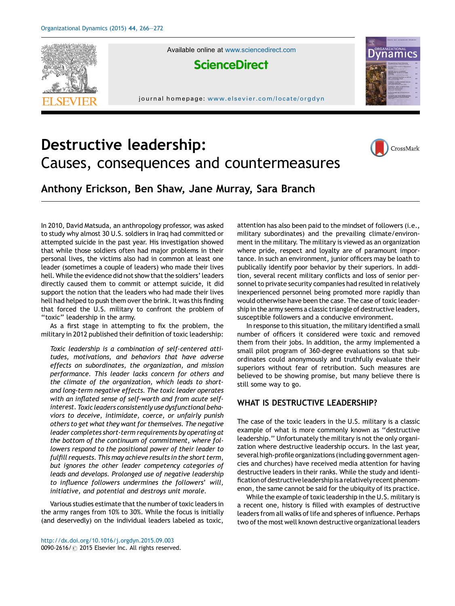

Available online at [www.sciencedirect.com](http://www.sciencedirect.com/science/journal/00902616)



journal homepage: www.elsevier.com/locate/orgdyn



# Destructive leadership: Causes, consequences and countermeasures



Anthony Erickson, Ben Shaw, Jane Murray, Sara Branch

In 2010, David Matsuda, an anthropology professor, was asked to study why almost 30 U.S. soldiers in Iraq had committed or attempted suicide in the past year. His investigation showed that while those soldiers often had major problems in their personal lives, the victims also had in common at least one leader (sometimes a couple of leaders) who made their lives hell. While the evidence did not show that the soldiers' leaders directly caused them to commit or attempt suicide, it did support the notion that the leaders who had made their lives hell had helped to push them over the brink. It was this finding that forced the U.S. military to confront the problem of "toxic" leadership in the army.

As a first stage in attempting to fix the problem, the military in 2012 published their definition of toxic leadership:

Toxic leadership is a combination of self-centered attitudes, motivations, and behaviors that have adverse effects on subordinates, the organization, and mission performance. This leader lacks concern for others and the climate of the organization, which leads to shortand long-term negative effects. The toxic leader operates with an inflated sense of self-worth and from acute selfinterest. Toxic leaders consistently use dysfunctional behaviors to deceive, intimidate, coerce, or unfairly punish others to get what they want for themselves. The negative leader completes short-term requirements by operating at the bottom of the continuum of commitment, where followers respond to the positional power of their leader to fulfill requests. This may achieve results in the short term, but ignores the other leader competency categories of leads and develops. Prolonged use of negative leadership to influence followers undermines the followers' will, initiative, and potential and destroys unit morale.

Various studies estimate that the number of toxic leaders in the army ranges from 10% to 30%. While the focus is initially (and deservedly) on the individual leaders labeled as toxic, attention has also been paid to the mindset of followers (i.e., military subordinates) and the prevailing climate/environment in the military. The military is viewed as an organization where pride, respect and loyalty are of paramount importance. In such an environment, junior officers may be loath to publically identify poor behavior by their superiors. In addition, several recent military conflicts and loss of senior personnel to private security companies had resulted in relatively inexperienced personnel being promoted more rapidly than would otherwise have been the case. The case of toxic leadership in the army seems a classic triangle of destructive leaders, susceptible followers and a conducive environment.

In response to this situation, the military identified a small number of officers it considered were toxic and removed them from their jobs. In addition, the army implemented a small pilot program of 360-degree evaluations so that subordinates could anonymously and truthfully evaluate their superiors without fear of retribution. Such measures are believed to be showing promise, but many believe there is still some way to go.

## WHAT IS DESTRUCTIVE LEADERSHIP?

The case of the toxic leaders in the U.S. military is a classic example of what is more commonly known as ''destructive leadership.'' Unfortunately the military is not the only organization where destructive leadership occurs. In the last year, several high-profile organizations (including government agencies and churches) have received media attention for having destructive leaders in their ranks. While the study and identification of destructive leadership is a relatively recent phenomenon, the same cannot be said for the ubiquity of its practice.

While the example of toxic leadership in the U.S. military is a recent one, history is filled with examples of destructive leaders from all walks of life and spheres of influence. Perhaps two of the most well known destructive organizational leaders

<http://dx.doi.org/10.1016/j.orgdyn.2015.09.003> 0090-2616/ @ 2015 Elsevier Inc. All rights reserved.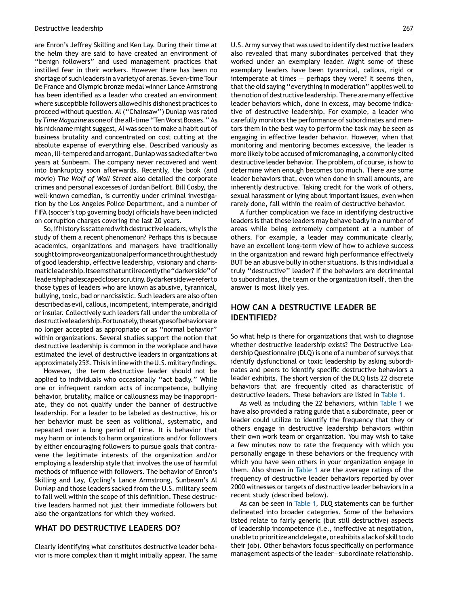are Enron's Jeffrey Skilling and Ken Lay. During their time at the helm they are said to have created an environment of ''benign followers'' and used management practices that instilled fear in their workers. However there has been no shortage of such leaders in a variety of arenas. Seven-time Tour De France and Olympic bronze medal winner Lance Armstrong has been identified as a leader who created an environment where susceptible followers allowed his dishonest practices to proceed without question. Al (''Chainsaw'') Dunlap was rated by Time Magazine as one of the all-time "Ten Worst Bosses." As his nickname might suggest, Al was seen to make a habit out of business brutality and concentrated on cost cutting at the absolute expense of everything else. Described variously as mean, ill-tempered and arrogant, Dunlap was sacked after two years at Sunbeam. The company never recovered and went into bankruptcy soon afterwards. Recently, the book (and movie) The Wolf of Wall Street also detailed the corporate crimes and personal excesses of Jordan Belfort. Bill Cosby, the well-known comedian, is currently under criminal investigation by the Los Angeles Police Department, and a number of FIFA (soccer's top governing body) officials have been indicted on corruption charges covering the last 20 years.

So, if history is scattered with destructive leaders, why is the study of them a recent phenomenon? Perhaps this is because academics, organizations and managers have traditionally soughttoimproveorganizationalperformancethroughthestudy of good leadership, effective leadership, visionary and charismaticleadership.Itseemsthatuntilrecentlythe''darkerside''of leadershiphadescapedcloserscrutiny.Bydarkersidewereferto those types of leaders who are known as abusive, tyrannical, bullying, toxic, bad or narcissistic. Such leaders are also often described as evil, callous, incompetent, intemperate, and rigid or insular. Collectively such leaders fall under the umbrella of destructiveleadership.Fortunately,thesetypesofbehaviorsare no longer accepted as appropriate or as ''normal behavior'' within organizations. Several studies support the notion that destructive leadership is common in the workplace and have estimated the level of destructive leaders in organizations at approximately 25%.Thisisinlinewith theU.S.militaryfindings.

However, the term destructive leader should not be applied to individuals who occasionally ''act badly.'' While one or infrequent random acts of incompetence, bullying behavior, brutality, malice or callousness may be inappropriate, they do not qualify under the banner of destructive leadership. For a leader to be labeled as destructive, his or her behavior must be seen as volitional, systematic, and repeated over a long period of time. It is behavior that may harm or intends to harm organizations and/or followers by either encouraging followers to pursue goals that contravene the legitimate interests of the organization and/or employing a leadership style that involves the use of harmful methods of influence with followers. The behavior of Enron's Skilling and Lay, Cycling's Lance Armstrong, Sunbeam's Al Dunlap and those leaders sacked from the U.S. military seem to fall well within the scope of this definition. These destructive leaders harmed not just their immediate followers but also the organizations for which they worked.

#### WHAT DO DESTRUCTIVE LEADERS DO?

Clearly identifying what constitutes destructive leader behavior is more complex than it might initially appear. The same U.S. Army survey that was used to identify destructive leaders also revealed that many subordinates perceived that they worked under an exemplary leader. Might some of these exemplary leaders have been tyrannical, callous, rigid or intemperate at times — perhaps they were? It seems then, that the old saying "everything in moderation" applies well to the notion of destructive leadership. There are many effective leader behaviors which, done in excess, may become indicative of destructive leadership. For example, a leader who carefully monitors the performance of subordinates and mentors them in the best way to perform the task may be seen as engaging in effective leader behavior. However, when that monitoring and mentoring becomes excessive, the leader is more likely to be accused of micromanaging, a commonly cited destructive leader behavior. The problem, of course, is how to determine when enough becomes too much. There are some leader behaviors that, even when done in small amounts, are inherently destructive. Taking credit for the work of others, sexual harassment or lying about important issues, even when rarely done, fall within the realm of destructive behavior.

A further complication we face in identifying destructive leaders is that these leaders may behave badly in a number of areas while being extremely competent at a number of others. For example, a leader may communicate clearly, have an excellent long-term view of how to achieve success in the organization and reward high performance effectively BUT be an abusive bully in other situations. Is this individual a truly ''destructive'' leader? If the behaviors are detrimental to subordinates, the team or the organization itself, then the answer is most likely yes.

#### HOW CAN A DESTRUCTIVE LEADER BE IDENTIFIED?

So what help is there for organizations that wish to diagnose whether destructive leadership exists? The Destructive Leadership Questionnaire (DLQ) is one of a number of surveys that identify dysfunctional or toxic leadership by asking subordinates and peers to identify specific destructive behaviors a leader exhibits. The short version of the DLQ lists 22 discrete behaviors that are frequently cited as characteristic of destructive leaders. These behaviors are listed in [Table](#page-2-0) 1.

As well as including the 22 behaviors, within [Table](#page-2-0) 1 we have also provided a rating guide that a subordinate, peer or leader could utilize to identify the frequency that they or others engage in destructive leadership behaviors within their own work team or organization. You may wish to take a few minutes now to rate the frequency with which you personally engage in these behaviors or the frequency with which you have seen others in your organization engage in them. Also shown in [Table](#page-2-0) 1 are the average ratings of the frequency of destructive leader behaviors reported by over 2000 witnesses or targets of destructive leader behaviors in a recent study (described below).

As can be seen in [Table](#page-2-0) 1, DLQ statements can be further delineated into broader categories. Some of the behaviors listed relate to fairly generic (but still destructive) aspects of leadership incompetence (i.e., ineffective at negotiation, unable to prioritize and delegate, or exhibits a lack of skill to do their job). Other behaviors focus specifically on performance management aspects of the leader—subordinate relationship.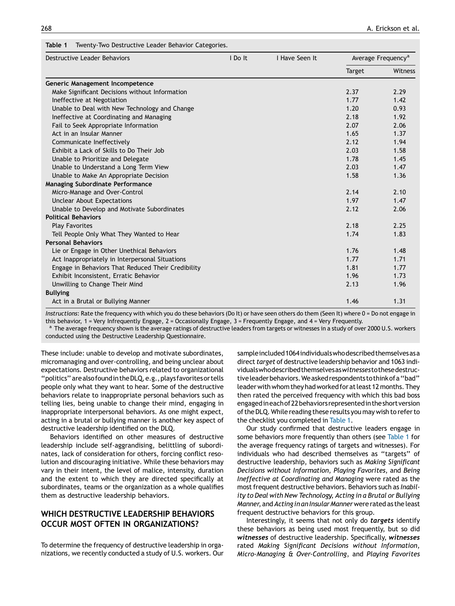<span id="page-2-0"></span>

| Target<br>Generic Management Incompetence<br>Make Significant Decisions without Information<br>2.37<br>Ineffective at Negotiation<br>1.77<br>Unable to Deal with New Technology and Change<br>1.20<br>Ineffective at Coordinating and Managing<br>2.18<br>2.07<br>Fail to Seek Appropriate Information<br>Act in an Insular Manner<br>1.65<br>2.12<br>Communicate Ineffectively<br>2.03<br>Exhibit a Lack of Skills to Do Their Job<br>1.78<br>Unable to Prioritize and Delegate<br>Unable to Understand a Long Term View<br>2.03<br>1.58<br>Unable to Make An Appropriate Decision<br><b>Managing Subordinate Performance</b><br>Micro-Manage and Over-Control<br>2.14<br>1.97<br><b>Unclear About Expectations</b><br>Unable to Develop and Motivate Subordinates<br>2.12<br><b>Political Behaviors</b><br>2.18<br><b>Play Favorites</b><br>Tell People Only What They Wanted to Hear<br>1.74<br><b>Personal Behaviors</b><br>Lie or Engage in Other Unethical Behaviors<br>1.76<br>Act Inappropriately in Interpersonal Situations<br>1.77<br>1.81<br>Engage in Behaviors That Reduced Their Credibility<br>1.96<br>Exhibit Inconsistent, Erratic Behavior | Average Frequency <sup>a</sup> |
|---------------------------------------------------------------------------------------------------------------------------------------------------------------------------------------------------------------------------------------------------------------------------------------------------------------------------------------------------------------------------------------------------------------------------------------------------------------------------------------------------------------------------------------------------------------------------------------------------------------------------------------------------------------------------------------------------------------------------------------------------------------------------------------------------------------------------------------------------------------------------------------------------------------------------------------------------------------------------------------------------------------------------------------------------------------------------------------------------------------------------------------------------------------|--------------------------------|
|                                                                                                                                                                                                                                                                                                                                                                                                                                                                                                                                                                                                                                                                                                                                                                                                                                                                                                                                                                                                                                                                                                                                                               | <b>Witness</b>                 |
|                                                                                                                                                                                                                                                                                                                                                                                                                                                                                                                                                                                                                                                                                                                                                                                                                                                                                                                                                                                                                                                                                                                                                               |                                |
|                                                                                                                                                                                                                                                                                                                                                                                                                                                                                                                                                                                                                                                                                                                                                                                                                                                                                                                                                                                                                                                                                                                                                               | 2.29                           |
|                                                                                                                                                                                                                                                                                                                                                                                                                                                                                                                                                                                                                                                                                                                                                                                                                                                                                                                                                                                                                                                                                                                                                               | 1.42                           |
|                                                                                                                                                                                                                                                                                                                                                                                                                                                                                                                                                                                                                                                                                                                                                                                                                                                                                                                                                                                                                                                                                                                                                               | 0.93                           |
|                                                                                                                                                                                                                                                                                                                                                                                                                                                                                                                                                                                                                                                                                                                                                                                                                                                                                                                                                                                                                                                                                                                                                               | 1.92                           |
|                                                                                                                                                                                                                                                                                                                                                                                                                                                                                                                                                                                                                                                                                                                                                                                                                                                                                                                                                                                                                                                                                                                                                               | 2.06                           |
|                                                                                                                                                                                                                                                                                                                                                                                                                                                                                                                                                                                                                                                                                                                                                                                                                                                                                                                                                                                                                                                                                                                                                               | 1.37                           |
|                                                                                                                                                                                                                                                                                                                                                                                                                                                                                                                                                                                                                                                                                                                                                                                                                                                                                                                                                                                                                                                                                                                                                               | 1.94                           |
|                                                                                                                                                                                                                                                                                                                                                                                                                                                                                                                                                                                                                                                                                                                                                                                                                                                                                                                                                                                                                                                                                                                                                               | 1.58                           |
|                                                                                                                                                                                                                                                                                                                                                                                                                                                                                                                                                                                                                                                                                                                                                                                                                                                                                                                                                                                                                                                                                                                                                               | 1.45                           |
|                                                                                                                                                                                                                                                                                                                                                                                                                                                                                                                                                                                                                                                                                                                                                                                                                                                                                                                                                                                                                                                                                                                                                               | 1.47                           |
|                                                                                                                                                                                                                                                                                                                                                                                                                                                                                                                                                                                                                                                                                                                                                                                                                                                                                                                                                                                                                                                                                                                                                               | 1.36                           |
|                                                                                                                                                                                                                                                                                                                                                                                                                                                                                                                                                                                                                                                                                                                                                                                                                                                                                                                                                                                                                                                                                                                                                               |                                |
|                                                                                                                                                                                                                                                                                                                                                                                                                                                                                                                                                                                                                                                                                                                                                                                                                                                                                                                                                                                                                                                                                                                                                               | 2.10                           |
|                                                                                                                                                                                                                                                                                                                                                                                                                                                                                                                                                                                                                                                                                                                                                                                                                                                                                                                                                                                                                                                                                                                                                               | 1.47                           |
|                                                                                                                                                                                                                                                                                                                                                                                                                                                                                                                                                                                                                                                                                                                                                                                                                                                                                                                                                                                                                                                                                                                                                               | 2.06                           |
|                                                                                                                                                                                                                                                                                                                                                                                                                                                                                                                                                                                                                                                                                                                                                                                                                                                                                                                                                                                                                                                                                                                                                               |                                |
|                                                                                                                                                                                                                                                                                                                                                                                                                                                                                                                                                                                                                                                                                                                                                                                                                                                                                                                                                                                                                                                                                                                                                               | 2.25                           |
|                                                                                                                                                                                                                                                                                                                                                                                                                                                                                                                                                                                                                                                                                                                                                                                                                                                                                                                                                                                                                                                                                                                                                               | 1.83                           |
|                                                                                                                                                                                                                                                                                                                                                                                                                                                                                                                                                                                                                                                                                                                                                                                                                                                                                                                                                                                                                                                                                                                                                               |                                |
|                                                                                                                                                                                                                                                                                                                                                                                                                                                                                                                                                                                                                                                                                                                                                                                                                                                                                                                                                                                                                                                                                                                                                               | 1.48                           |
|                                                                                                                                                                                                                                                                                                                                                                                                                                                                                                                                                                                                                                                                                                                                                                                                                                                                                                                                                                                                                                                                                                                                                               | 1.71                           |
|                                                                                                                                                                                                                                                                                                                                                                                                                                                                                                                                                                                                                                                                                                                                                                                                                                                                                                                                                                                                                                                                                                                                                               | 1.77                           |
|                                                                                                                                                                                                                                                                                                                                                                                                                                                                                                                                                                                                                                                                                                                                                                                                                                                                                                                                                                                                                                                                                                                                                               | 1.73                           |
| 2.13<br>Unwilling to Change Their Mind                                                                                                                                                                                                                                                                                                                                                                                                                                                                                                                                                                                                                                                                                                                                                                                                                                                                                                                                                                                                                                                                                                                        | 1.96                           |
| <b>Bullying</b>                                                                                                                                                                                                                                                                                                                                                                                                                                                                                                                                                                                                                                                                                                                                                                                                                                                                                                                                                                                                                                                                                                                                               |                                |
| Act in a Brutal or Bullying Manner<br>1.46                                                                                                                                                                                                                                                                                                                                                                                                                                                                                                                                                                                                                                                                                                                                                                                                                                                                                                                                                                                                                                                                                                                    | 1.31                           |

Instructions: Rate the frequency with which you do these behaviors (Do It) or have seen others do them (Seen It) where 0 = Do not engage in this behavior,  $1 = \text{Very Intrequently Engage}, 2 = \text{Occasionally Engage}, 3 = \text{Frequently Engage}, \text{ and } 4 = \text{Very Frequently.}$ 

<sup>a</sup> The average frequency shown is the average ratings of destructive leaders from targets or witnesses in a study of over 2000 U.S. workers conducted using the Destructive Leadership Questionnaire.

These include: unable to develop and motivate subordinates, micromanaging and over-controlling, and being unclear about expectations. Destructive behaviors related to organizational ''politics'' are also foundin theDLQ, e.g.,plays favorites or tells people only what they want to hear. Some of the destructive behaviors relate to inappropriate personal behaviors such as telling lies, being unable to change their mind, engaging in inappropriate interpersonal behaviors. As one might expect, acting in a brutal or bullying manner is another key aspect of destructive leadership identified on the DLQ.

Behaviors identified on other measures of destructive leadership include self-aggrandising, belittling of subordinates, lack of consideration for others, forcing conflict resolution and discouraging initiative. While these behaviors may vary in their intent, the level of malice, intensity, duration and the extent to which they are directed specifically at subordinates, teams or the organization as a whole qualifies them as destructive leadership behaviors.

## WHICH DESTRUCTIVE LEADERSHIP BEHAVIORS OCCUR MOST OFTEN IN ORGANIZATIONS?

To determine the frequency of destructive leadership in organizations, we recently conducted a study of U.S. workers. Our sample included 1064 individuals who described themselves as a direct target of destructive leadership behavior and 1063 individualswhodescribedthemselvesaswitnessestothesedestructiveleader behaviors.We asked respondents tothinkof a ''bad'' leaderwithwhom theyhadworkedfor atleast 12months.They then rated the perceived frequency with which this bad boss engagedineachof22behaviors representedin the shortversion of the DLQ. While reading these results you may wish to refer to the checklist you completed in Table 1.

Our study confirmed that destructive leaders engage in some behaviors more frequently than others (see Table 1 for the average frequency ratings of targets and witnesses). For individuals who had described themselves as ''targets'' of destructive leadership, behaviors such as Making Significant Decisions without Information, Playing Favorites, and Being Ineffective at Coordinating and Managing were rated as the most frequent destructive behaviors. Behaviors such as Inability to Deal with New Technology, Acting in a Brutal or Bullying Manner, and Acting in an Insular Manner were rated as the least frequent destructive behaviors for this group.

Interestingly, it seems that not only do targets identify these behaviors as being used most frequently, but so did witnesses of destructive leadership. Specifically, witnesses rated Making Significant Decisions without Information, Micro-Managing & Over-Controlling, and Playing Favorites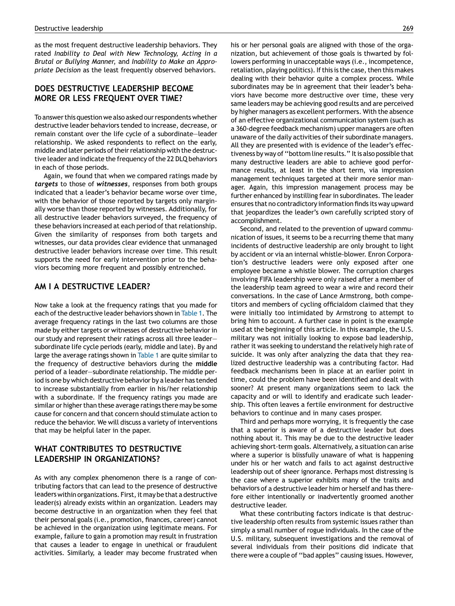as the most frequent destructive leadership behaviors. They rated Inability to Deal with New Technology, Acting in a Brutal or Bullying Manner, and Inability to Make an Appropriate Decision as the least frequently observed behaviors.

## DOES DESTRUCTIVE LEADERSHIP BECOME MORE OR LESS FREQUENT OVER TIME?

To answer this question we also asked our respondents whether destructive leader behaviors tended to increase, decrease, or remain constant over the life cycle of a subordinate—leader relationship. We asked respondents to reflect on the early, middle and later periods of their relationship with the destructive leader and indicate the frequency of the 22 DLQ behaviors in each of those periods.

Again, we found that when we compared ratings made by targets to those of witnesses, responses from both groups indicated that a leader's behavior became worse over time, with the behavior of those reported by targets only marginally worse than those reported by witnesses. Additionally, for all destructive leader behaviors surveyed, the frequency of these behaviors increased at each period of that relationship. Given the similarity of responses from both targets and witnesses, our data provides clear evidence that unmanaged destructive leader behaviors increase over time. This result supports the need for early intervention prior to the behaviors becoming more frequent and possibly entrenched.

#### AM I A DESTRUCTIVE LEADER?

Now take a look at the frequency ratings that you made for each of the destructive leader behaviors shown in [Table](#page-2-0) 1. The average frequency ratings in the last two columns are those made by either targets or witnesses of destructive behavior in our study and represent their ratings across all three leader subordinate life cycle periods (early, middle and late). By and large the average ratings shown in [Table](#page-2-0) 1 are quite similar to the frequency of destructive behaviors during the middle period of a leader—subordinate relationship. The middle period is one by which destructive behavior by a leader has tended to increase substantially from earlier in his/her relationship with a subordinate. If the frequency ratings you made are similar or higher than these average ratings there may be some cause for concern and that concern should stimulate action to reduce the behavior. We will discuss a variety of interventions that may be helpful later in the paper.

## WHAT CONTRIBUTES TO DESTRUCTIVE LEADERSHIP IN ORGANIZATIONS?

As with any complex phenomenon there is a range of contributing factors that can lead to the presence of destructive leaders within organizations. First, it may be that a destructive leader(s) already exists within an organization. Leaders may become destructive in an organization when they feel that their personal goals (i.e., promotion, finances, career) cannot be achieved in the organization using legitimate means. For example, failure to gain a promotion may result in frustration that causes a leader to engage in unethical or fraudulent activities. Similarly, a leader may become frustrated when his or her personal goals are aligned with those of the organization, but achievement of those goals is thwarted by followers performing in unacceptable ways (i.e., incompetence, retaliation, playing politics). If this is the case, then this makes dealing with their behavior quite a complex process. While subordinates may be in agreement that their leader's behaviors have become more destructive over time, these very same leaders may be achieving good results and are perceived by higher managers as excellent performers. With the absence of an effective organizational communication system (such as a 360-degree feedback mechanism) upper managers are often unaware of the daily activities of their subordinate managers. All they are presented with is evidence of the leader's effectiveness by way of "bottom line results." It is also possible that many destructive leaders are able to achieve good performance results, at least in the short term, via impression management techniques targeted at their more senior manager. Again, this impression management process may be further enhanced by instilling fear in subordinates. The leader ensuresthat no contradictory information findsits way upward that jeopardizes the leader's own carefully scripted story of accomplishment.

Second, and related to the prevention of upward communication of issues, it seems to be a recurring theme that many incidents of destructive leadership are only brought to light by accident or via an internal whistle-blower. Enron Corporation's destructive leaders were only exposed after one employee became a whistle blower. The corruption charges involving FIFA leadership were only raised after a member of the leadership team agreed to wear a wire and record their conversations. In the case of Lance Armstrong, both competitors and members of cycling officialdom claimed that they were initially too intimidated by Armstrong to attempt to bring him to account. A further case in point is the example used at the beginning of this article. In this example, the U.S. military was not initially looking to expose bad leadership, rather it was seeking to understand the relatively high rate of suicide. It was only after analyzing the data that they realized destructive leadership was a contributing factor. Had feedback mechanisms been in place at an earlier point in time, could the problem have been identified and dealt with sooner? At present many organizations seem to lack the capacity and or will to identify and eradicate such leadership. This often leaves a fertile environment for destructive behaviors to continue and in many cases prosper.

Third and perhaps more worrying, it is frequently the case that a superior is aware of a destructive leader but does nothing about it. This may be due to the destructive leader achieving short-term goals. Alternatively, a situation can arise where a superior is blissfully unaware of what is happening under his or her watch and fails to act against destructive leadership out of sheer ignorance. Perhaps most distressing is the case where a superior exhibits many of the traits and behaviors of a destructive leader him or herself and has therefore either intentionally or inadvertently groomed another destructive leader.

What these contributing factors indicate is that destructive leadership often results from systemic issues rather than simply a small number of rogue individuals. In the case of the U.S. military, subsequent investigations and the removal of several individuals from their positions did indicate that there were a couple of ''bad apples'' causing issues. However,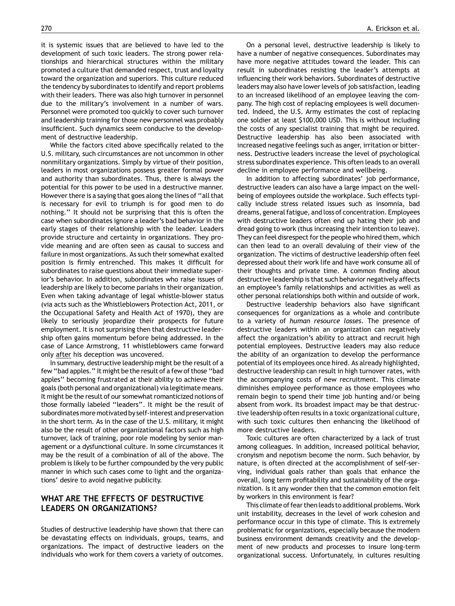it is systemic issues that are believed to have led to the development of such toxic leaders. The strong power relationships and hierarchical structures within the military promoted a culture that demanded respect, trust and loyalty toward the organization and superiors. This culture reduced the tendency by subordinates to identify and report problems with their leaders. There was also high turnover in personnel due to the military's involvement in a number of wars. Personnel were promoted too quickly to cover such turnover and leadership training for those new personnel was probably insufficient. Such dynamics seem conducive to the development of destructive leadership.

While the factors cited above specifically related to the U.S. military, such circumstances are not uncommon in other nonmilitary organizations. Simply by virtue of their position, leaders in most organizations possess greater formal power and authority than subordinates. Thus, there is always the potential for this power to be used in a destructive manner. However there is a saying that goes along the lines of "all that is necessary for evil to triumph is for good men to do nothing.'' It should not be surprising that this is often the case when subordinates ignore a leader's bad behavior in the early stages of their relationship with the leader. Leaders provide structure and certainty in organizations. They provide meaning and are often seen as causal to success and failure in most organizations. As such their somewhat exalted position is firmly entrenched. This makes it difficult for subordinates to raise questions about their immediate superior's behavior. In addition, subordinates who raise issues of leadership are likely to become pariahs in their organization. Even when taking advantage of legal whistle-blower status (via acts such as the Whistleblowers Protection Act, 2011, or the Occupational Safety and Health Act of 1970), they are likely to seriously jeopardize their prospects for future employment. It is not surprising then that destructive leadership often gains momentum before being addressed. In the case of Lance Armstrong, 11 whistleblowers came forward only after his deception was uncovered.

In summary, destructive leadership might be the result of a few "bad apples." It might be the result of a few of those "bad apples'' becoming frustrated at their ability to achieve their goals(both personal and organizational) via legitimate means. It might be the result of our somewhat romanticized notions of those formally labeled ''leaders''. It might be the result of subordinates more motivated by self-interest and preservation in the short term. As in the case of the U.S. military, it might also be the result of other organizational factors such as high turnover, lack of training, poor role modeling by senior management or a dysfunctional culture. In some circumstances it may be the result of a combination of all of the above. The problem is likely to be further compounded by the very public manner in which such cases come to light and the organizations' desire to avoid negative publicity.

# WHAT ARE THE EFFECTS OF DESTRUCTIVE LEADERS ON ORGANIZATIONS?

Studies of destructive leadership have shown that there can be devastating effects on individuals, groups, teams, and organizations. The impact of destructive leaders on the individuals who work for them covers a variety of outcomes.

On a personal level, destructive leadership is likely to have a number of negative consequences. Subordinates may have more negative attitudes toward the leader. This can result in subordinates resisting the leader's attempts at influencing their work behaviors. Subordinates of destructive leaders may also have lowerlevels of job satisfaction, leading to an increased likelihood of an employee leaving the company. The high cost of replacing employees is well documented. Indeed, the U.S. Army estimates the cost of replacing one soldier at least \$100,000 USD. This is without including the costs of any specialist training that might be required. Destructive leadership has also been associated with increased negative feelings such as anger, irritation or bitterness. Destructive leaders increase the level of psychological stress subordinates experience. This often leads to an overall decline in employee performance and wellbeing.

In addition to affecting subordinates' job performance, destructive leaders can also have a large impact on the wellbeing of employees outside the workplace. Such effects typically include stress related issues such as insomnia, bad dreams, generalfatigue, and loss of concentration. Employees with destructive leaders often end up hating their job and dread going to work (thus increasing their intention to leave). They can feel disrespect for the people who hired them, which can then lead to an overall devaluing of their view of the organization. The victims of destructive leadership often feel depressed about their work life and have work consume all of their thoughts and private time. A common finding about destructive leadership is that such behavior negatively affects an employee's family relationships and activities as well as other personal relationships both within and outside of work.

Destructive leadership behaviors also have significant consequences for organizations as a whole and contribute to a variety of human resource losses. The presence of destructive leaders within an organization can negatively affect the organization's ability to attract and recruit high potential employees. Destructive leaders may also reduce the ability of an organization to develop the performance potential of its employees once hired. As already highlighted, destructive leadership can result in high turnover rates, with the accompanying costs of new recruitment. This climate diminishes employee performance as those employees who remain begin to spend their time job hunting and/or being absent from work. Its broadest impact may be that destructive leadership often results in a toxic organizational culture, with such toxic cultures then enhancing the likelihood of more destructive leaders.

Toxic cultures are often characterized by a lack of trust among colleagues. In addition, increased political behavior, cronyism and nepotism become the norm. Such behavior, by nature, is often directed at the accomplishment of self-serving, individual goals rather than goals that enhance the overall, long term profitability and sustainability of the organization. Is it any wonder then that the common emotion felt by workers in this environment is fear?

This climate offearthen leadsto additional problems. Work unit instability, decreases in the level of work cohesion and performance occur in this type of climate. This is extremely problematic for organizations, especially because the modern business environment demands creativity and the development of new products and processes to insure long-term organizational success. Unfortunately, in cultures resulting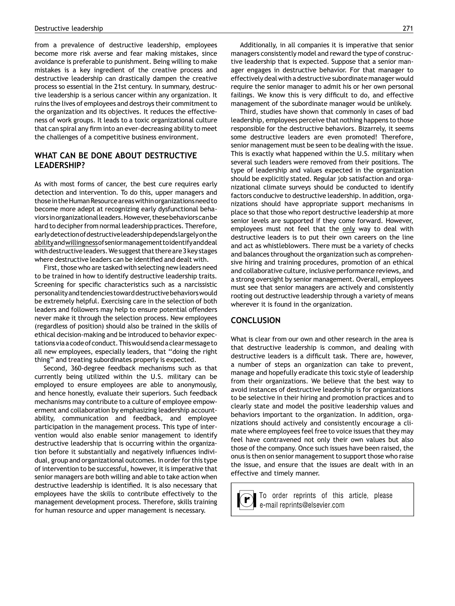from a prevalence of destructive leadership, employees become more risk averse and fear making mistakes, since avoidance is preferable to punishment. Being willing to make mistakes is a key ingredient of the creative process and destructive leadership can drastically dampen the creative process so essential in the 21st century. In summary, destructive leadership is a serious cancer within any organization. It ruins the lives of employees and destroys their commitment to the organization and its objectives. It reduces the effectiveness of work groups. It leads to a toxic organizational culture that can spiral any firm into an ever-decreasing ability to meet the challenges of a competitive business environment.

#### WHAT CAN BE DONE ABOUT DESTRUCTIVE LEADERSHIP?

As with most forms of cancer, the best cure requires early detection and intervention. To do this, upper managers and thosein theHuman Resource areaswithin organizationsneed to become more adept at recognizing early dysfunctional behaviors in organizational leaders. However, these behaviors can be hard to decipher from normal leadership practices. Therefore, earlydetectionofdestructiveleadershipdependslargelyonthe abilityandwillingnessofseniormanagementtoidentifyanddeal with destructive leaders. We suggest that there are 3 key stages where destructive leaders can be identified and dealt with.

First, those who are tasked with selecting new leaders need to be trained in how to identify destructive leadership traits. Screening for specific characteristics such as a narcissistic personalityand tendenciestowarddestructivebehaviorswould be extremely helpful. Exercising care in the selection of both leaders and followers may help to ensure potential offenders never make it through the selection process. New employees (regardless of position) should also be trained in the skills of ethical decision-making and be introduced to behavior expectationsvia acodeofconduct.Thiswould sendaclearmessageto all new employees, especially leaders, that ''doing the right thing'' and treating subordinates properly is expected.

Second, 360-degree feedback mechanisms such as that currently being utilized within the U.S. military can be employed to ensure employees are able to anonymously, and hence honestly, evaluate their superiors. Such feedback mechanisms may contribute to a culture of employee empowerment and collaboration by emphasizing leadership accountability, communication and feedback, and employee participation in the management process. This type of intervention would also enable senior management to identify destructive leadership that is occurring within the organization before it substantially and negatively influences individual, group and organizational outcomes. In order for this type of intervention to be successful, however, it is imperative that senior managers are both willing and able to take action when destructive leadership is identified. It is also necessary that employees have the skills to contribute effectively to the management development process. Therefore, skills training for human resource and upper management is necessary.

Additionally, in all companies it is imperative that senior managers consistently model and reward the type of constructive leadership that is expected. Suppose that a senior manager engages in destructive behavior. For that manager to effectively deal with a destructive subordinate managerwould require the senior manager to admit his or her own personal failings. We know this is very difficult to do, and effective management of the subordinate manager would be unlikely.

Third, studies have shown that commonly in cases of bad leadership, employees perceive that nothing happens to those responsible for the destructive behaviors. Bizarrely, it seems some destructive leaders are even promoted! Therefore, senior management must be seen to be dealing with the issue. This is exactly what happened within the U.S. military when several such leaders were removed from their positions. The type of leadership and values expected in the organization should be explicitly stated. Regular job satisfaction and organizational climate surveys should be conducted to identify factors conducive to destructive leadership. In addition, organizations should have appropriate support mechanisms in place so that those who report destructive leadership at more senior levels are supported if they come forward. However, employees must not feel that the only way to deal with destructive leaders is to put their own careers on the line and act as whistleblowers. There must be a variety of checks and balances throughout the organization such as comprehensive hiring and training procedures, promotion of an ethical and collaborative culture, inclusive performance reviews, and a strong oversight by senior management. Overall, employees must see that senior managers are actively and consistently rooting out destructive leadership through a variety of means wherever it is found in the organization.

#### **CONCLUSION**

What is clear from our own and other research in the area is that destructive leadership is common, and dealing with destructive leaders is a difficult task. There are, however, a number of steps an organization can take to prevent, manage and hopefully eradicate this toxic style of leadership from their organizations. We believe that the best way to avoid instances of destructive leadership is for organizations to be selective in their hiring and promotion practices and to clearly state and model the positive leadership values and behaviors important to the organization. In addition, organizations should actively and consistently encourage a climate where employees feel free to voice issues that they may feel have contravened not only their own values but also those of the company. Once such issues have been raised, the onus is then on senior management to support those who raise the issue, and ensure that the issues are dealt with in an effective and timely manner.

To order reprints of this article, please e-mail reprints@elsevier.com